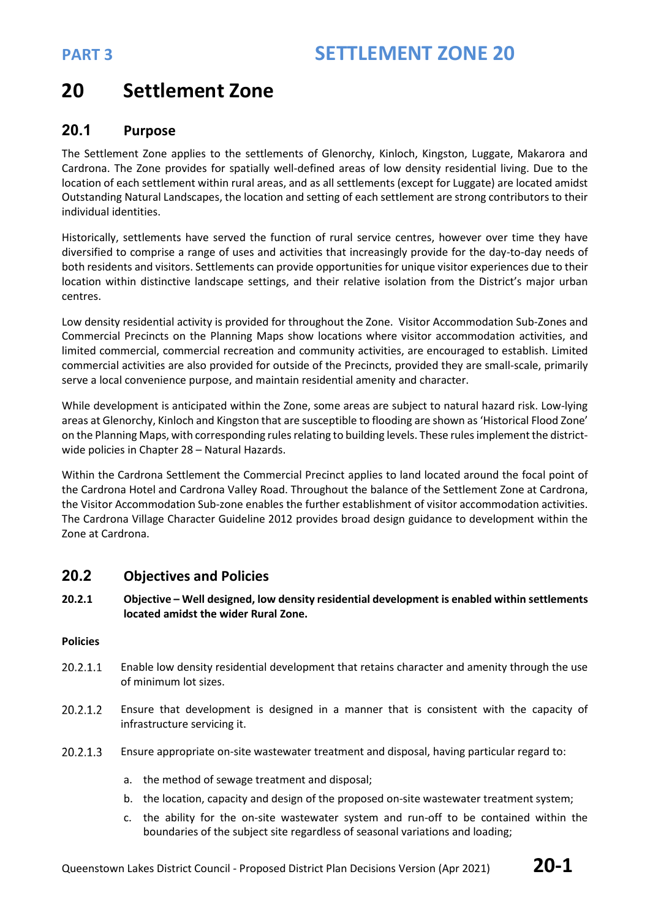# **20 Settlement Zone**

### **20.1 Purpose**

The Settlement Zone applies to the settlements of Glenorchy, Kinloch, Kingston, Luggate, Makarora and Cardrona. The Zone provides for spatially well-defined areas of low density residential living. Due to the location of each settlement within rural areas, and as all settlements (except for Luggate) are located amidst Outstanding Natural Landscapes, the location and setting of each settlement are strong contributors to their individual identities.

Historically, settlements have served the function of rural service centres, however over time they have diversified to comprise a range of uses and activities that increasingly provide for the day-to-day needs of both residents and visitors. Settlements can provide opportunities for unique visitor experiences due to their location within distinctive landscape settings, and their relative isolation from the District's major urban centres.

Low density residential activity is provided for throughout the Zone. Visitor Accommodation Sub-Zones and Commercial Precincts on the Planning Maps show locations where visitor accommodation activities, and limited commercial, commercial recreation and community activities, are encouraged to establish. Limited commercial activities are also provided for outside of the Precincts, provided they are small-scale, primarily serve a local convenience purpose, and maintain residential amenity and character.

While development is anticipated within the Zone, some areas are subject to natural hazard risk. Low-lying areas at Glenorchy, Kinloch and Kingston that are susceptible to flooding are shown as 'Historical Flood Zone' on the Planning Maps, with corresponding rules relating to building levels. These rules implement the districtwide policies in Chapter 28 – Natural Hazards.

Within the Cardrona Settlement the Commercial Precinct applies to land located around the focal point of the Cardrona Hotel and Cardrona Valley Road. Throughout the balance of the Settlement Zone at Cardrona, the Visitor Accommodation Sub-zone enables the further establishment of visitor accommodation activities. The Cardrona Village Character Guideline 2012 provides broad design guidance to development within the Zone at Cardrona.

### **20.2 Objectives and Policies**

**20.2.1 Objective – Well designed, low density residential development is enabled within settlements located amidst the wider Rural Zone.** 

### **Policies**

- 20.2.1.1 Enable low density residential development that retains character and amenity through the use of minimum lot sizes.
- 20.2.1.2 Ensure that development is designed in a manner that is consistent with the capacity of infrastructure servicing it.
- 20.2.1.3 Ensure appropriate on-site wastewater treatment and disposal, having particular regard to:
	- a. the method of sewage treatment and disposal;
	- b. the location, capacity and design of the proposed on-site wastewater treatment system;
	- c. the ability for the on-site wastewater system and run-off to be contained within the boundaries of the subject site regardless of seasonal variations and loading;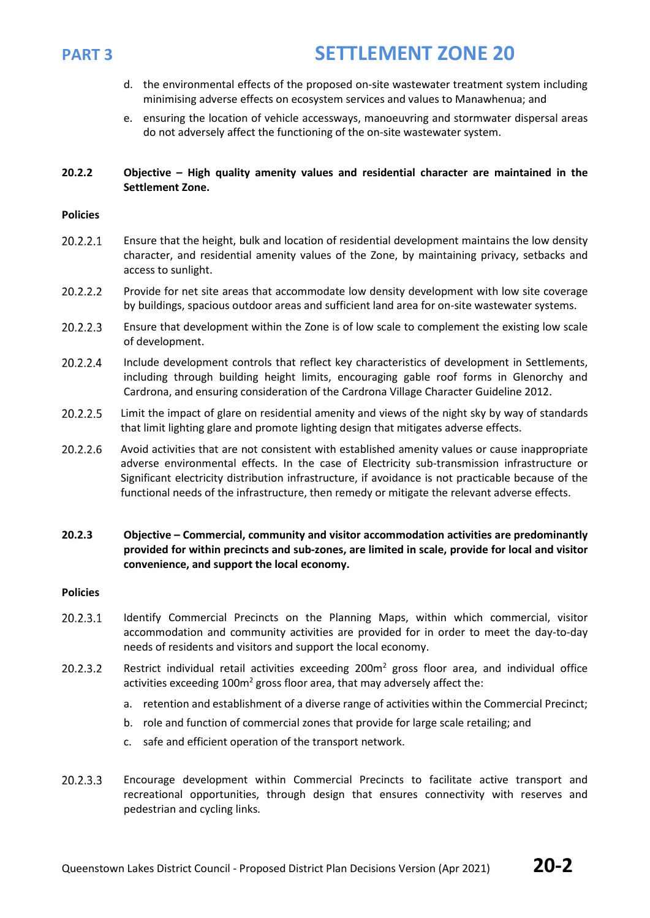

- d. the environmental effects of the proposed on-site wastewater treatment system including minimising adverse effects on ecosystem services and values to Manawhenua; and
- e. ensuring the location of vehicle accessways, manoeuvring and stormwater dispersal areas do not adversely affect the functioning of the on-site wastewater system.

### **20.2.2 Objective – High quality amenity values and residential character are maintained in the Settlement Zone.**

### **Policies**

- 20.2.2.1 Ensure that the height, bulk and location of residential development maintains the low density character, and residential amenity values of the Zone, by maintaining privacy, setbacks and access to sunlight.
- 20.2.2.2 Provide for net site areas that accommodate low density development with low site coverage by buildings, spacious outdoor areas and sufficient land area for on-site wastewater systems.
- 20.2.2.3 Ensure that development within the Zone is of low scale to complement the existing low scale of development.
- 20.2.2.4 Include development controls that reflect key characteristics of development in Settlements, including through building height limits, encouraging gable roof forms in Glenorchy and Cardrona, and ensuring consideration of the Cardrona Village Character Guideline 2012.
- 20.2.2.5 Limit the impact of glare on residential amenity and views of the night sky by way of standards that limit lighting glare and promote lighting design that mitigates adverse effects.
- 20.2.2.6 Avoid activities that are not consistent with established amenity values or cause inappropriate adverse environmental effects. In the case of Electricity sub-transmission infrastructure or Significant electricity distribution infrastructure, if avoidance is not practicable because of the functional needs of the infrastructure, then remedy or mitigate the relevant adverse effects.
- **20.2.3 Objective – Commercial, community and visitor accommodation activities are predominantly provided for within precincts and sub-zones, are limited in scale, provide for local and visitor convenience, and support the local economy.**

### **Policies**

- $20.2.3.1$ Identify Commercial Precincts on the Planning Maps, within which commercial, visitor accommodation and community activities are provided for in order to meet the day-to-day needs of residents and visitors and support the local economy.
- 20.2.3.2 Restrict individual retail activities exceeding  $200m<sup>2</sup>$  gross floor area, and individual office activities exceeding  $100m^2$  gross floor area, that may adversely affect the:
	- a. retention and establishment of a diverse range of activities within the Commercial Precinct;
	- b. role and function of commercial zones that provide for large scale retailing; and
	- c. safe and efficient operation of the transport network.
- 20.2.3.3 Encourage development within Commercial Precincts to facilitate active transport and recreational opportunities, through design that ensures connectivity with reserves and pedestrian and cycling links.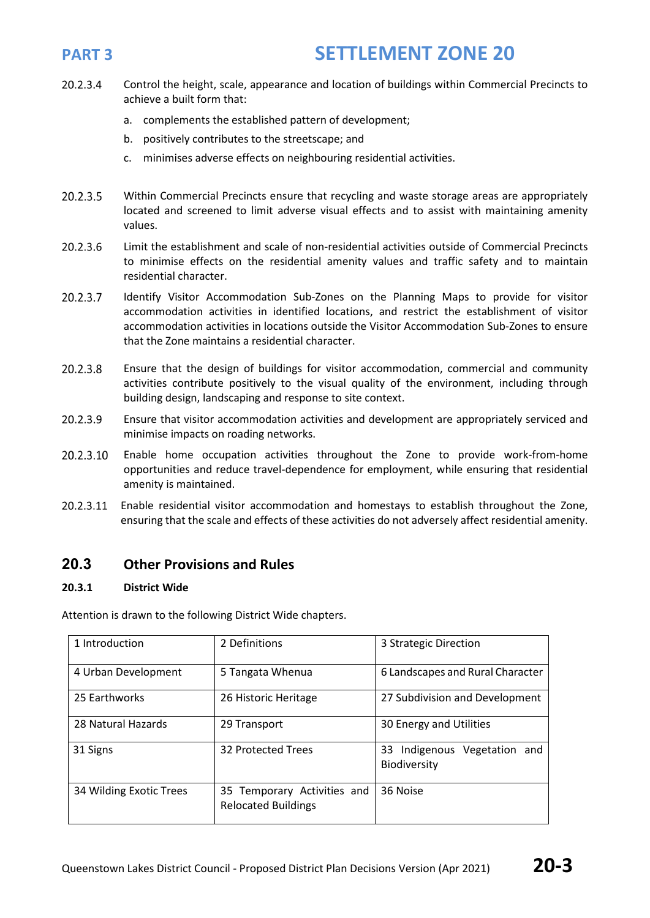- 20.2.3.4 Control the height, scale, appearance and location of buildings within Commercial Precincts to achieve a built form that:
	- a. complements the established pattern of development;
	- b. positively contributes to the streetscape; and
	- c. minimises adverse effects on neighbouring residential activities.
- 20.2.3.5 Within Commercial Precincts ensure that recycling and waste storage areas are appropriately located and screened to limit adverse visual effects and to assist with maintaining amenity values.
- 20.2.3.6 Limit the establishment and scale of non-residential activities outside of Commercial Precincts to minimise effects on the residential amenity values and traffic safety and to maintain residential character.
- 20.2.3.7 Identify Visitor Accommodation Sub-Zones on the Planning Maps to provide for visitor accommodation activities in identified locations, and restrict the establishment of visitor accommodation activities in locations outside the Visitor Accommodation Sub-Zones to ensure that the Zone maintains a residential character.
- 20.2.3.8 Ensure that the design of buildings for visitor accommodation, commercial and community activities contribute positively to the visual quality of the environment, including through building design, landscaping and response to site context.
- 20.2.3.9 Ensure that visitor accommodation activities and development are appropriately serviced and minimise impacts on roading networks.
- 20.2.3.10 Enable home occupation activities throughout the Zone to provide work-from-home opportunities and reduce travel-dependence for employment, while ensuring that residential amenity is maintained.
- 20.2.3.11 Enable residential visitor accommodation and homestays to establish throughout the Zone, ensuring that the scale and effects of these activities do not adversely affect residential amenity.

### **20.3 Other Provisions and Rules**

### **20.3.1 District Wide**

Attention is drawn to the following District Wide chapters.

| 1 Introduction          | 2 Definitions                                             | 3 Strategic Direction                               |  |  |
|-------------------------|-----------------------------------------------------------|-----------------------------------------------------|--|--|
| 4 Urban Development     | 5 Tangata Whenua                                          | 6 Landscapes and Rural Character                    |  |  |
| 25 Earthworks           | 26 Historic Heritage                                      | 27 Subdivision and Development                      |  |  |
| 28 Natural Hazards      | 29 Transport                                              | 30 Energy and Utilities                             |  |  |
| 31 Signs                | 32 Protected Trees                                        | 33 Indigenous Vegetation and<br><b>Biodiversity</b> |  |  |
| 34 Wilding Exotic Trees | 35 Temporary Activities and<br><b>Relocated Buildings</b> | 36 Noise                                            |  |  |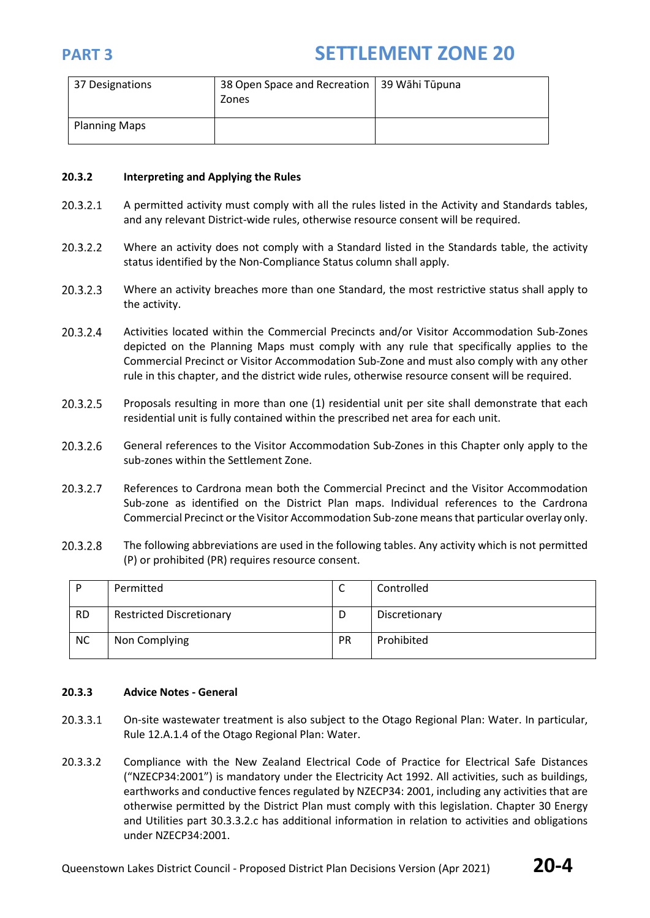| 37 Designations      | 38 Open Space and Recreation   39 Wāhi Tūpuna<br>Zones |  |
|----------------------|--------------------------------------------------------|--|
| <b>Planning Maps</b> |                                                        |  |

### **20.3.2 Interpreting and Applying the Rules**

- 20.3.2.1 A permitted activity must comply with all the rules listed in the Activity and Standards tables, and any relevant District-wide rules, otherwise resource consent will be required.
- 20.3.2.2 Where an activity does not comply with a Standard listed in the Standards table, the activity status identified by the Non-Compliance Status column shall apply.
- 20.3.2.3 Where an activity breaches more than one Standard, the most restrictive status shall apply to the activity.
- 20.3.2.4 Activities located within the Commercial Precincts and/or Visitor Accommodation Sub-Zones depicted on the Planning Maps must comply with any rule that specifically applies to the Commercial Precinct or Visitor Accommodation Sub-Zone and must also comply with any other rule in this chapter, and the district wide rules, otherwise resource consent will be required.
- 20.3.2.5 Proposals resulting in more than one (1) residential unit per site shall demonstrate that each residential unit is fully contained within the prescribed net area for each unit.
- 20.3.2.6 General references to the Visitor Accommodation Sub-Zones in this Chapter only apply to the sub-zones within the Settlement Zone.
- 20.3.2.7 References to Cardrona mean both the Commercial Precinct and the Visitor Accommodation Sub-zone as identified on the District Plan maps. Individual references to the Cardrona Commercial Precinct or the Visitor Accommodation Sub-zone means that particular overlay only.
- 20.3.2.8 The following abbreviations are used in the following tables. Any activity which is not permitted (P) or prohibited (PR) requires resource consent.

| D         | Permitted                       | ◡         | Controlled    |
|-----------|---------------------------------|-----------|---------------|
| <b>RD</b> | <b>Restricted Discretionary</b> | D         | Discretionary |
| <b>NC</b> | Non Complying                   | <b>PR</b> | Prohibited    |

### **20.3.3 Advice Notes - General**

- 20.3.3.1 On-site wastewater treatment is also subject to the Otago Regional Plan: Water. In particular, Rule 12.A.1.4 of the Otago Regional Plan: Water.
- 20.3.3.2 Compliance with the New Zealand Electrical Code of Practice for Electrical Safe Distances ("NZECP34:2001") is mandatory under the Electricity Act 1992. All activities, such as buildings, earthworks and conductive fences regulated by NZECP34: 2001, including any activities that are otherwise permitted by the District Plan must comply with this legislation. Chapter 30 Energy and Utilities part 30.3.3.2.c has additional information in relation to activities and obligations under NZECP34:2001.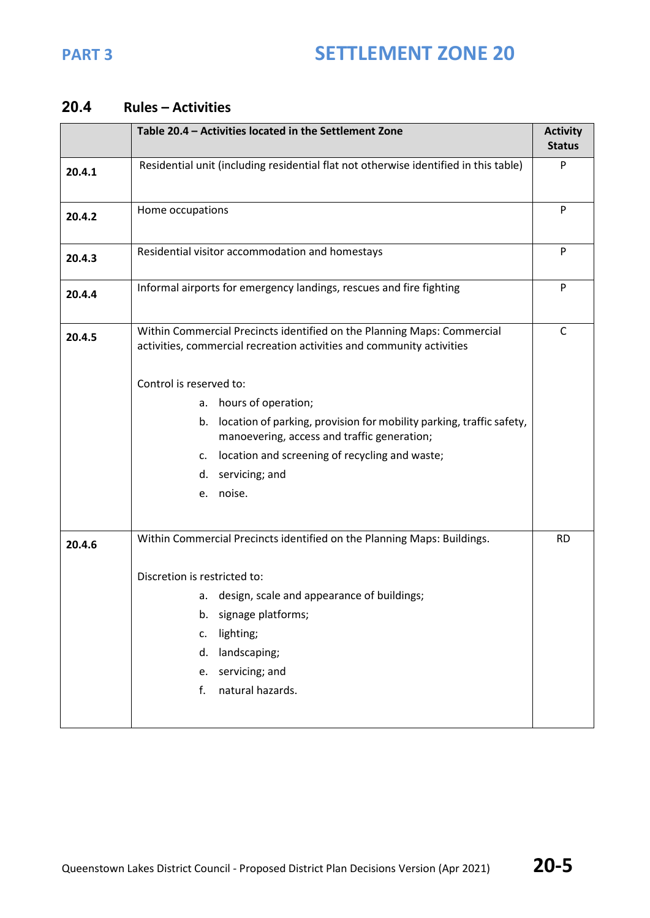### **20.4 Rules – Activities**

|        | Table 20.4 - Activities located in the Settlement Zone                                                                                           | <b>Activity</b><br><b>Status</b> |
|--------|--------------------------------------------------------------------------------------------------------------------------------------------------|----------------------------------|
| 20.4.1 | Residential unit (including residential flat not otherwise identified in this table)                                                             |                                  |
| 20.4.2 | Home occupations                                                                                                                                 | P                                |
| 20.4.3 | Residential visitor accommodation and homestays                                                                                                  |                                  |
| 20.4.4 | Informal airports for emergency landings, rescues and fire fighting                                                                              | P                                |
| 20.4.5 | Within Commercial Precincts identified on the Planning Maps: Commercial<br>activities, commercial recreation activities and community activities | $\mathsf{C}$                     |
|        | Control is reserved to:                                                                                                                          |                                  |
|        | hours of operation;<br>a.                                                                                                                        |                                  |
|        | location of parking, provision for mobility parking, traffic safety,<br>b.<br>manoevering, access and traffic generation;                        |                                  |
|        | location and screening of recycling and waste;<br>c.                                                                                             |                                  |
|        | servicing; and<br>d.                                                                                                                             |                                  |
|        | e. noise.                                                                                                                                        |                                  |
| 20.4.6 | Within Commercial Precincts identified on the Planning Maps: Buildings.                                                                          | <b>RD</b>                        |
|        | Discretion is restricted to:                                                                                                                     |                                  |
|        | a. design, scale and appearance of buildings;                                                                                                    |                                  |
|        | signage platforms;<br>b.                                                                                                                         |                                  |
|        | lighting;<br>c.                                                                                                                                  |                                  |
|        | landscaping;<br>d.                                                                                                                               |                                  |
|        | servicing; and<br>e.                                                                                                                             |                                  |
|        | natural hazards.<br>f.                                                                                                                           |                                  |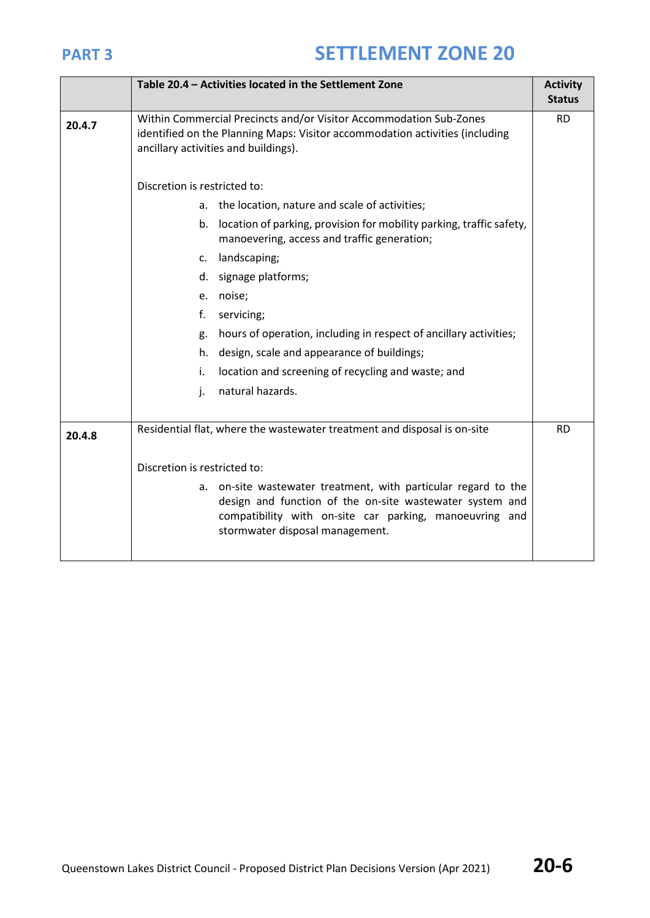|        | Table 20.4 - Activities located in the Settlement Zone                                                                                                                                                                   | <b>Activity</b> |  |
|--------|--------------------------------------------------------------------------------------------------------------------------------------------------------------------------------------------------------------------------|-----------------|--|
|        |                                                                                                                                                                                                                          | <b>Status</b>   |  |
| 20.4.7 | Within Commercial Precincts and/or Visitor Accommodation Sub-Zones<br>identified on the Planning Maps: Visitor accommodation activities (including<br>ancillary activities and buildings).                               | <b>RD</b>       |  |
|        | Discretion is restricted to:                                                                                                                                                                                             |                 |  |
|        | the location, nature and scale of activities;<br>a.                                                                                                                                                                      |                 |  |
|        | location of parking, provision for mobility parking, traffic safety,<br>b.<br>manoevering, access and traffic generation;                                                                                                |                 |  |
|        | landscaping;<br>c.                                                                                                                                                                                                       |                 |  |
|        | signage platforms;<br>d.                                                                                                                                                                                                 |                 |  |
|        | noise;<br>e.                                                                                                                                                                                                             |                 |  |
|        | f.<br>servicing;                                                                                                                                                                                                         |                 |  |
|        | hours of operation, including in respect of ancillary activities;<br>g.                                                                                                                                                  |                 |  |
|        | design, scale and appearance of buildings;<br>h.                                                                                                                                                                         |                 |  |
|        | location and screening of recycling and waste; and<br>i.                                                                                                                                                                 |                 |  |
|        | natural hazards.<br>j.                                                                                                                                                                                                   |                 |  |
|        |                                                                                                                                                                                                                          |                 |  |
| 20.4.8 | Residential flat, where the wastewater treatment and disposal is on-site                                                                                                                                                 |                 |  |
|        | Discretion is restricted to:                                                                                                                                                                                             |                 |  |
|        | a. on-site wastewater treatment, with particular regard to the<br>design and function of the on-site wastewater system and<br>compatibility with on-site car parking, manoeuvring and<br>stormwater disposal management. |                 |  |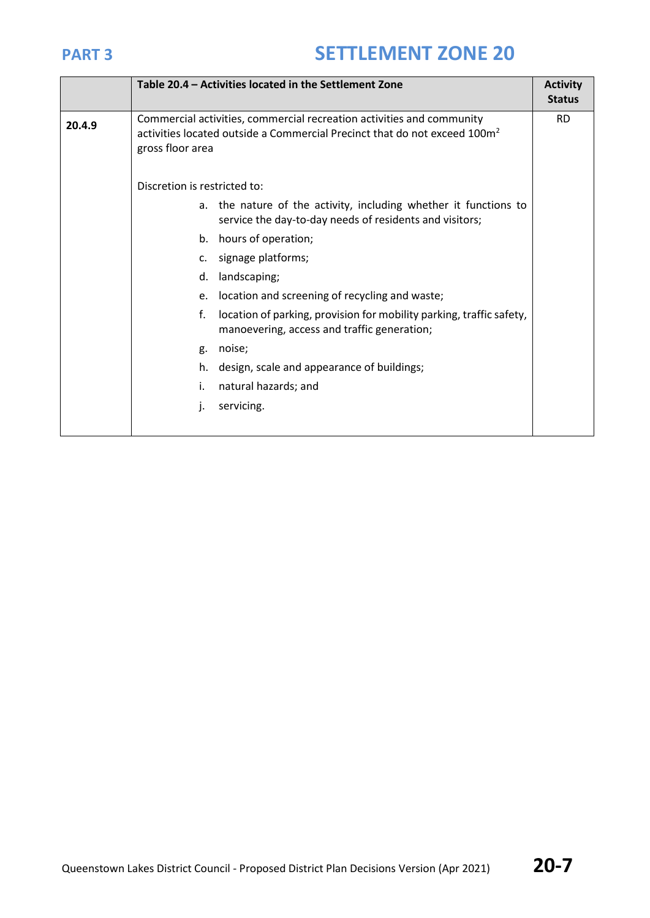|        |                                                                                                                                                                                    | Table 20.4 - Activities located in the Settlement Zone                                                                      | <b>Activity</b><br><b>Status</b> |  |
|--------|------------------------------------------------------------------------------------------------------------------------------------------------------------------------------------|-----------------------------------------------------------------------------------------------------------------------------|----------------------------------|--|
| 20.4.9 | Commercial activities, commercial recreation activities and community<br>activities located outside a Commercial Precinct that do not exceed 100m <sup>2</sup><br>gross floor area |                                                                                                                             | <b>RD</b>                        |  |
|        | Discretion is restricted to:                                                                                                                                                       |                                                                                                                             |                                  |  |
|        |                                                                                                                                                                                    | a. the nature of the activity, including whether it functions to<br>service the day-to-day needs of residents and visitors; |                                  |  |
|        | hours of operation;<br>b.                                                                                                                                                          |                                                                                                                             |                                  |  |
|        | signage platforms;<br>c.                                                                                                                                                           |                                                                                                                             |                                  |  |
|        | d.                                                                                                                                                                                 | landscaping;                                                                                                                |                                  |  |
|        | e.                                                                                                                                                                                 | location and screening of recycling and waste;                                                                              |                                  |  |
|        | f.                                                                                                                                                                                 | location of parking, provision for mobility parking, traffic safety,<br>manoevering, access and traffic generation;         |                                  |  |
|        | noise;<br>g.                                                                                                                                                                       |                                                                                                                             |                                  |  |
|        | h.                                                                                                                                                                                 | design, scale and appearance of buildings;                                                                                  |                                  |  |
|        | i.                                                                                                                                                                                 | natural hazards; and                                                                                                        |                                  |  |
|        | servicing.<br>J.                                                                                                                                                                   |                                                                                                                             |                                  |  |
|        |                                                                                                                                                                                    |                                                                                                                             |                                  |  |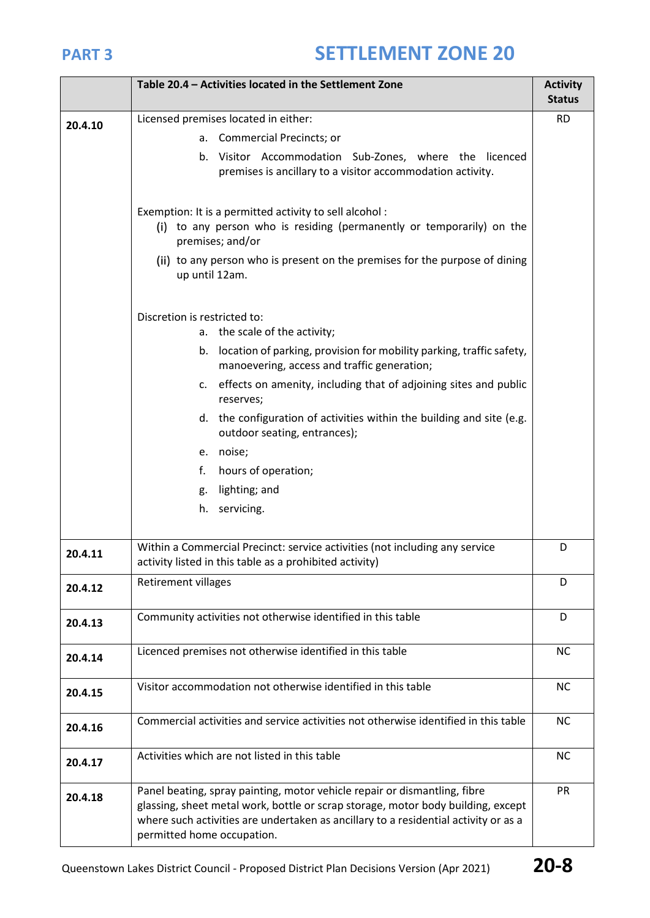|         | Table 20.4 - Activities located in the Settlement Zone                                                                                                                                                                                                                             | <b>Activity</b><br><b>Status</b> |  |  |  |
|---------|------------------------------------------------------------------------------------------------------------------------------------------------------------------------------------------------------------------------------------------------------------------------------------|----------------------------------|--|--|--|
|         | Licensed premises located in either:                                                                                                                                                                                                                                               | <b>RD</b>                        |  |  |  |
| 20.4.10 | a. Commercial Precincts; or                                                                                                                                                                                                                                                        |                                  |  |  |  |
|         | Visitor Accommodation Sub-Zones, where the licenced<br>b.<br>premises is ancillary to a visitor accommodation activity.                                                                                                                                                            |                                  |  |  |  |
|         | Exemption: It is a permitted activity to sell alcohol :<br>(i) to any person who is residing (permanently or temporarily) on the<br>premises; and/or                                                                                                                               |                                  |  |  |  |
|         | (ii) to any person who is present on the premises for the purpose of dining<br>up until 12am.                                                                                                                                                                                      |                                  |  |  |  |
|         | Discretion is restricted to:<br>a. the scale of the activity;                                                                                                                                                                                                                      |                                  |  |  |  |
|         | location of parking, provision for mobility parking, traffic safety,<br>b.<br>manoevering, access and traffic generation;                                                                                                                                                          |                                  |  |  |  |
|         | c. effects on amenity, including that of adjoining sites and public<br>reserves;                                                                                                                                                                                                   |                                  |  |  |  |
|         | d. the configuration of activities within the building and site (e.g.<br>outdoor seating, entrances);                                                                                                                                                                              |                                  |  |  |  |
|         | e. noise;                                                                                                                                                                                                                                                                          |                                  |  |  |  |
|         | f.<br>hours of operation;                                                                                                                                                                                                                                                          |                                  |  |  |  |
|         | lighting; and<br>g.                                                                                                                                                                                                                                                                |                                  |  |  |  |
|         | servicing.<br>h.                                                                                                                                                                                                                                                                   |                                  |  |  |  |
| 20.4.11 | Within a Commercial Precinct: service activities (not including any service<br>activity listed in this table as a prohibited activity)                                                                                                                                             | D                                |  |  |  |
| 20.4.12 | Retirement villages                                                                                                                                                                                                                                                                | D                                |  |  |  |
| 20.4.13 | Community activities not otherwise identified in this table                                                                                                                                                                                                                        | D                                |  |  |  |
| 20.4.14 | Licenced premises not otherwise identified in this table                                                                                                                                                                                                                           | <b>NC</b>                        |  |  |  |
| 20.4.15 | Visitor accommodation not otherwise identified in this table                                                                                                                                                                                                                       | <b>NC</b>                        |  |  |  |
| 20.4.16 | Commercial activities and service activities not otherwise identified in this table                                                                                                                                                                                                | <b>NC</b>                        |  |  |  |
| 20.4.17 | Activities which are not listed in this table                                                                                                                                                                                                                                      | <b>NC</b>                        |  |  |  |
| 20.4.18 | Panel beating, spray painting, motor vehicle repair or dismantling, fibre<br>glassing, sheet metal work, bottle or scrap storage, motor body building, except<br>where such activities are undertaken as ancillary to a residential activity or as a<br>permitted home occupation. | <b>PR</b>                        |  |  |  |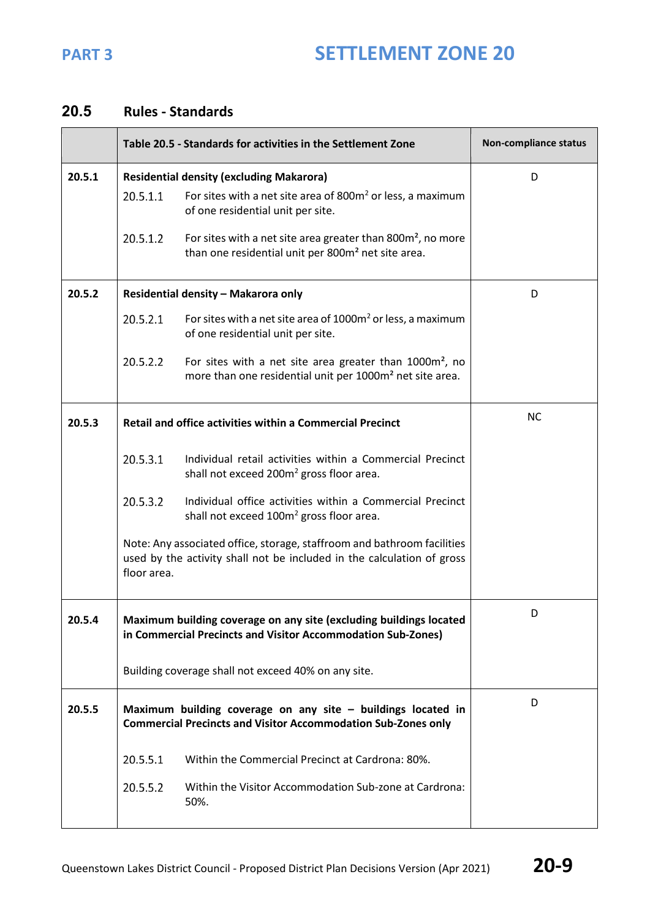### **20.5 Rules - Standards**

|        |             | Table 20.5 - Standards for activities in the Settlement Zone                                                                                      | Non-compliance status |
|--------|-------------|---------------------------------------------------------------------------------------------------------------------------------------------------|-----------------------|
| 20.5.1 |             | <b>Residential density (excluding Makarora)</b>                                                                                                   | D                     |
|        | 20.5.1.1    | For sites with a net site area of $800m2$ or less, a maximum<br>of one residential unit per site.                                                 |                       |
|        | 20.5.1.2    | For sites with a net site area greater than $800m^2$ , no more<br>than one residential unit per 800m <sup>2</sup> net site area.                  |                       |
| 20.5.2 |             | Residential density - Makarora only                                                                                                               | D                     |
|        | 20.5.2.1    | For sites with a net site area of 1000m <sup>2</sup> or less, a maximum<br>of one residential unit per site.                                      |                       |
|        | 20.5.2.2    | For sites with a net site area greater than 1000m <sup>2</sup> , no<br>more than one residential unit per 1000m <sup>2</sup> net site area.       |                       |
| 20.5.3 |             | Retail and office activities within a Commercial Precinct                                                                                         | <b>NC</b>             |
|        | 20.5.3.1    | Individual retail activities within a Commercial Precinct<br>shall not exceed 200m <sup>2</sup> gross floor area.                                 |                       |
|        | 20.5.3.2    | Individual office activities within a Commercial Precinct<br>shall not exceed 100m <sup>2</sup> gross floor area.                                 |                       |
|        | floor area. | Note: Any associated office, storage, staffroom and bathroom facilities<br>used by the activity shall not be included in the calculation of gross |                       |
| 20.5.4 |             | Maximum building coverage on any site (excluding buildings located<br>in Commercial Precincts and Visitor Accommodation Sub-Zones)                | D                     |
|        |             | Building coverage shall not exceed 40% on any site.                                                                                               |                       |
| 20.5.5 |             | Maximum building coverage on any site $-$ buildings located in<br><b>Commercial Precincts and Visitor Accommodation Sub-Zones only</b>            | D                     |
|        | 20.5.5.1    | Within the Commercial Precinct at Cardrona: 80%.                                                                                                  |                       |
|        | 20.5.5.2    | Within the Visitor Accommodation Sub-zone at Cardrona:<br>50%.                                                                                    |                       |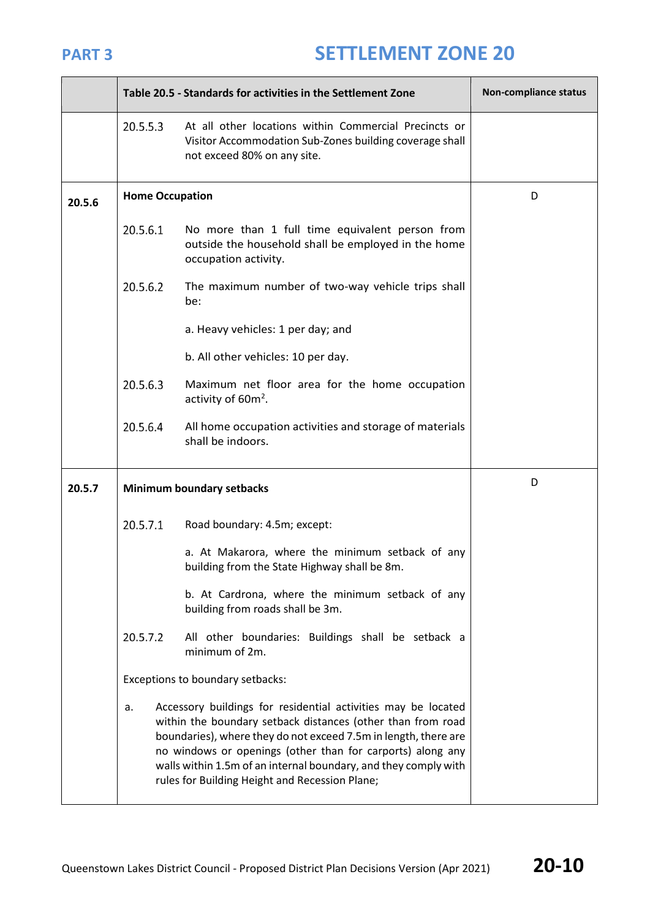÷.

|        | Table 20.5 - Standards for activities in the Settlement Zone | Non-compliance status                                                                                                                                                                                                                                                                                                                                                              |   |
|--------|--------------------------------------------------------------|------------------------------------------------------------------------------------------------------------------------------------------------------------------------------------------------------------------------------------------------------------------------------------------------------------------------------------------------------------------------------------|---|
|        | 20.5.5.3                                                     | At all other locations within Commercial Precincts or<br>Visitor Accommodation Sub-Zones building coverage shall<br>not exceed 80% on any site.                                                                                                                                                                                                                                    |   |
| 20.5.6 | <b>Home Occupation</b>                                       |                                                                                                                                                                                                                                                                                                                                                                                    | D |
|        | 20.5.6.1                                                     | No more than 1 full time equivalent person from<br>outside the household shall be employed in the home<br>occupation activity.                                                                                                                                                                                                                                                     |   |
|        | 20.5.6.2                                                     | The maximum number of two-way vehicle trips shall<br>be:                                                                                                                                                                                                                                                                                                                           |   |
|        |                                                              | a. Heavy vehicles: 1 per day; and                                                                                                                                                                                                                                                                                                                                                  |   |
|        |                                                              | b. All other vehicles: 10 per day.                                                                                                                                                                                                                                                                                                                                                 |   |
|        | 20.5.6.3                                                     | Maximum net floor area for the home occupation<br>activity of 60m <sup>2</sup> .                                                                                                                                                                                                                                                                                                   |   |
|        | 20.5.6.4                                                     | All home occupation activities and storage of materials<br>shall be indoors.                                                                                                                                                                                                                                                                                                       |   |
| 20.5.7 |                                                              | Minimum boundary setbacks                                                                                                                                                                                                                                                                                                                                                          | D |
|        | 20.5.7.1                                                     | Road boundary: 4.5m; except:                                                                                                                                                                                                                                                                                                                                                       |   |
|        |                                                              | a. At Makarora, where the minimum setback of any<br>building from the State Highway shall be 8m.                                                                                                                                                                                                                                                                                   |   |
|        |                                                              | b. At Cardrona, where the minimum setback of any<br>building from roads shall be 3m.                                                                                                                                                                                                                                                                                               |   |
|        | 20.5.7.2                                                     | All other boundaries: Buildings shall be setback a<br>minimum of 2m.                                                                                                                                                                                                                                                                                                               |   |
|        |                                                              | Exceptions to boundary setbacks:                                                                                                                                                                                                                                                                                                                                                   |   |
|        | a.                                                           | Accessory buildings for residential activities may be located<br>within the boundary setback distances (other than from road<br>boundaries), where they do not exceed 7.5m in length, there are<br>no windows or openings (other than for carports) along any<br>walls within 1.5m of an internal boundary, and they comply with<br>rules for Building Height and Recession Plane; |   |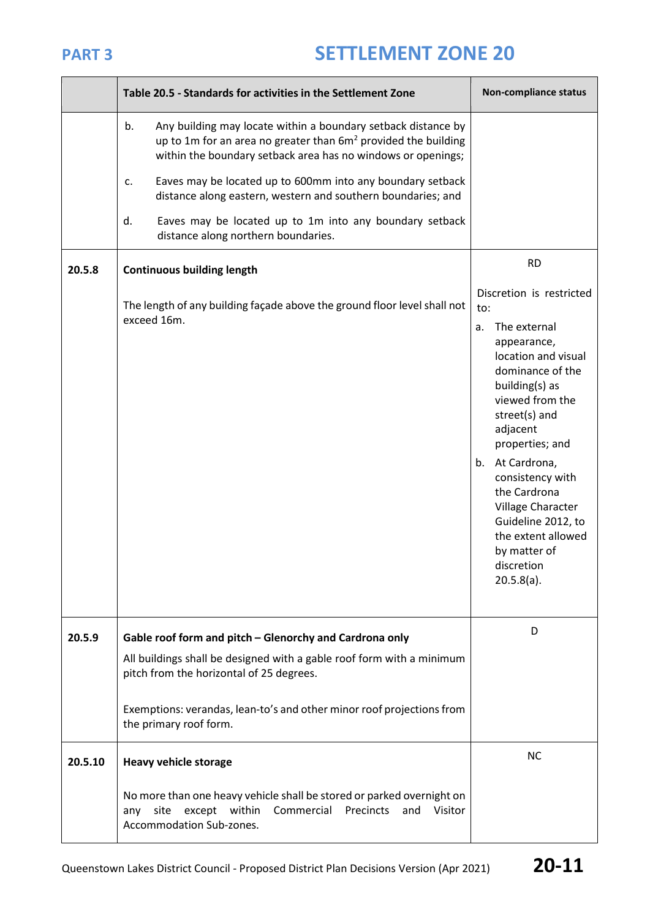|         | Table 20.5 - Standards for activities in the Settlement Zone                                                                                                                                            | Non-compliance status                                                                                                                                                                                                                                                                                                                                                          |
|---------|---------------------------------------------------------------------------------------------------------------------------------------------------------------------------------------------------------|--------------------------------------------------------------------------------------------------------------------------------------------------------------------------------------------------------------------------------------------------------------------------------------------------------------------------------------------------------------------------------|
|         | b.<br>Any building may locate within a boundary setback distance by<br>up to 1m for an area no greater than $6m2$ provided the building<br>within the boundary setback area has no windows or openings; |                                                                                                                                                                                                                                                                                                                                                                                |
|         | Eaves may be located up to 600mm into any boundary setback<br>c.<br>distance along eastern, western and southern boundaries; and                                                                        |                                                                                                                                                                                                                                                                                                                                                                                |
|         | d.<br>Eaves may be located up to 1m into any boundary setback<br>distance along northern boundaries.                                                                                                    |                                                                                                                                                                                                                                                                                                                                                                                |
| 20.5.8  | <b>Continuous building length</b>                                                                                                                                                                       | <b>RD</b>                                                                                                                                                                                                                                                                                                                                                                      |
|         | The length of any building façade above the ground floor level shall not<br>exceed 16m.                                                                                                                 | Discretion is restricted<br>to:<br>The external<br>a.<br>appearance,<br>location and visual<br>dominance of the<br>building(s) as<br>viewed from the<br>street(s) and<br>adjacent<br>properties; and<br>At Cardrona,<br>b.<br>consistency with<br>the Cardrona<br>Village Character<br>Guideline 2012, to<br>the extent allowed<br>by matter of<br>discretion<br>$20.5.8(a)$ . |
| 20.5.9  | Gable roof form and pitch - Glenorchy and Cardrona only<br>All buildings shall be designed with a gable roof form with a minimum<br>pitch from the horizontal of 25 degrees.                            | D                                                                                                                                                                                                                                                                                                                                                                              |
|         | Exemptions: verandas, lean-to's and other minor roof projections from<br>the primary roof form.                                                                                                         |                                                                                                                                                                                                                                                                                                                                                                                |
| 20.5.10 | <b>Heavy vehicle storage</b>                                                                                                                                                                            | <b>NC</b>                                                                                                                                                                                                                                                                                                                                                                      |
|         | No more than one heavy vehicle shall be stored or parked overnight on<br>site<br>except within<br>Commercial<br>Precincts<br>and<br>Visitor<br>any<br>Accommodation Sub-zones.                          |                                                                                                                                                                                                                                                                                                                                                                                |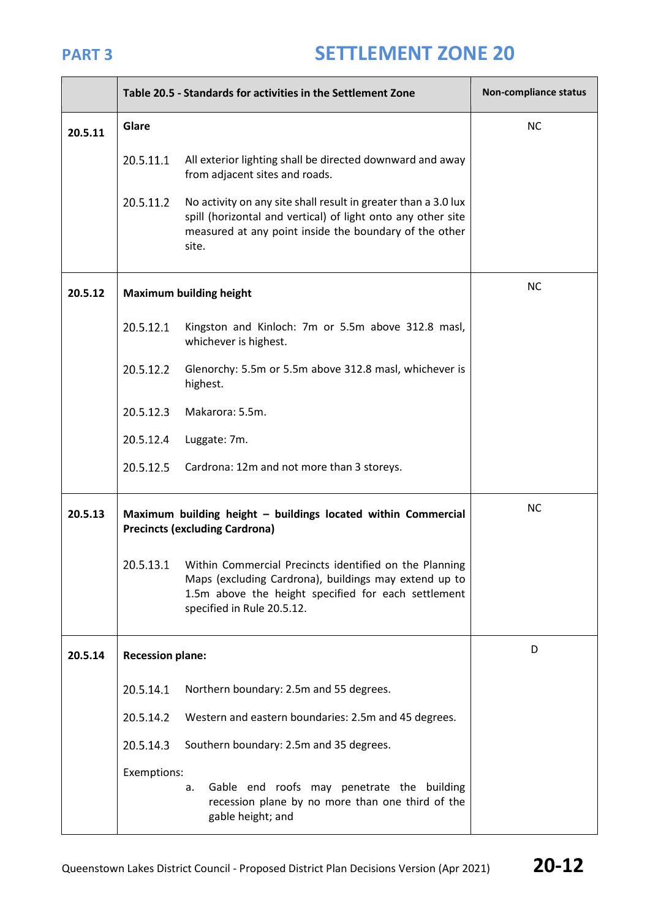|         |                         | Table 20.5 - Standards for activities in the Settlement Zone                                                                                                                                         | Non-compliance status |
|---------|-------------------------|------------------------------------------------------------------------------------------------------------------------------------------------------------------------------------------------------|-----------------------|
| 20.5.11 | Glare                   |                                                                                                                                                                                                      | <b>NC</b>             |
|         | 20.5.11.1               | All exterior lighting shall be directed downward and away<br>from adjacent sites and roads.                                                                                                          |                       |
|         | 20.5.11.2               | No activity on any site shall result in greater than a 3.0 lux<br>spill (horizontal and vertical) of light onto any other site<br>measured at any point inside the boundary of the other<br>site.    |                       |
| 20.5.12 |                         | <b>Maximum building height</b>                                                                                                                                                                       | <b>NC</b>             |
|         | 20.5.12.1               | Kingston and Kinloch: 7m or 5.5m above 312.8 masl,<br>whichever is highest.                                                                                                                          |                       |
|         | 20.5.12.2               | Glenorchy: 5.5m or 5.5m above 312.8 masl, whichever is<br>highest.                                                                                                                                   |                       |
|         | 20.5.12.3               | Makarora: 5.5m.                                                                                                                                                                                      |                       |
|         | 20.5.12.4               | Luggate: 7m.                                                                                                                                                                                         |                       |
|         | 20.5.12.5               | Cardrona: 12m and not more than 3 storeys.                                                                                                                                                           |                       |
| 20.5.13 |                         | Maximum building height - buildings located within Commercial<br><b>Precincts (excluding Cardrona)</b>                                                                                               | <b>NC</b>             |
|         | 20.5.13.1               | Within Commercial Precincts identified on the Planning<br>Maps (excluding Cardrona), buildings may extend up to<br>1.5m above the height specified for each settlement<br>specified in Rule 20.5.12. |                       |
| 20.5.14 | <b>Recession plane:</b> |                                                                                                                                                                                                      | D                     |
|         | 20.5.14.1               | Northern boundary: 2.5m and 55 degrees.                                                                                                                                                              |                       |
|         | 20.5.14.2               | Western and eastern boundaries: 2.5m and 45 degrees.                                                                                                                                                 |                       |
|         | 20.5.14.3               | Southern boundary: 2.5m and 35 degrees.                                                                                                                                                              |                       |
|         | Exemptions:             | Gable end roofs may penetrate the building<br>а.<br>recession plane by no more than one third of the<br>gable height; and                                                                            |                       |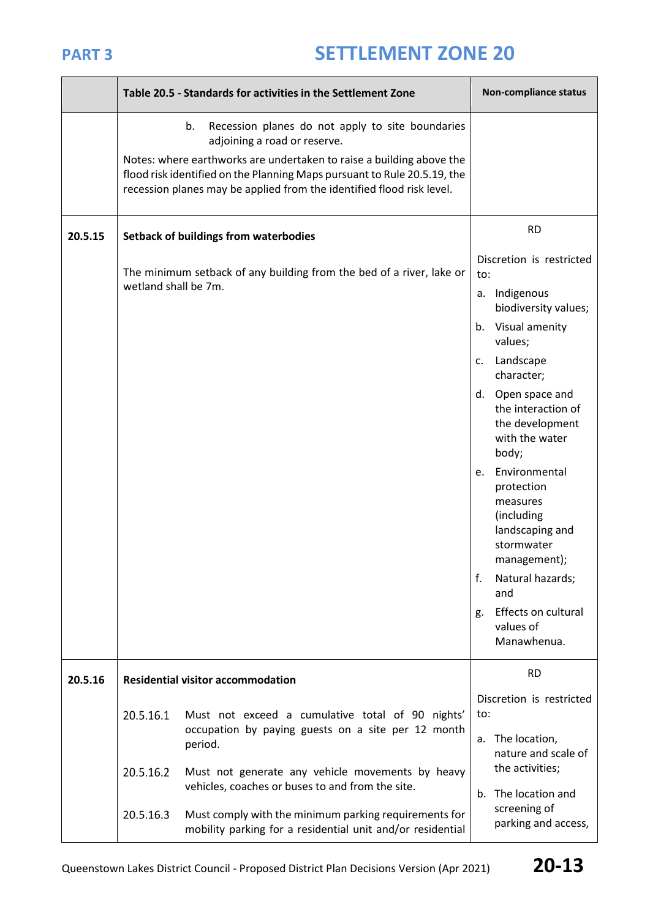|         |                                                                                                                   | Table 20.5 - Standards for activities in the Settlement Zone                                                                                                                                                              | Non-compliance status                  |                                                                                                                                                                                                                                                                                                                              |
|---------|-------------------------------------------------------------------------------------------------------------------|---------------------------------------------------------------------------------------------------------------------------------------------------------------------------------------------------------------------------|----------------------------------------|------------------------------------------------------------------------------------------------------------------------------------------------------------------------------------------------------------------------------------------------------------------------------------------------------------------------------|
|         | b.                                                                                                                | Recession planes do not apply to site boundaries<br>adjoining a road or reserve.                                                                                                                                          |                                        |                                                                                                                                                                                                                                                                                                                              |
|         |                                                                                                                   | Notes: where earthworks are undertaken to raise a building above the<br>flood risk identified on the Planning Maps pursuant to Rule 20.5.19, the<br>recession planes may be applied from the identified flood risk level. |                                        |                                                                                                                                                                                                                                                                                                                              |
| 20.5.15 |                                                                                                                   | Setback of buildings from waterbodies                                                                                                                                                                                     |                                        | <b>RD</b>                                                                                                                                                                                                                                                                                                                    |
|         | wetland shall be 7m.                                                                                              | The minimum setback of any building from the bed of a river, lake or                                                                                                                                                      | to:<br>c.<br>d.<br>e.                  | Discretion is restricted<br>a. Indigenous<br>biodiversity values;<br>b. Visual amenity<br>values;<br>Landscape<br>character;<br>Open space and<br>the interaction of<br>the development<br>with the water<br>body;<br>Environmental<br>protection<br>measures<br>(including<br>landscaping and<br>stormwater<br>management); |
|         |                                                                                                                   |                                                                                                                                                                                                                           | f.<br>g.                               | Natural hazards;<br>and<br>Effects on cultural                                                                                                                                                                                                                                                                               |
|         |                                                                                                                   |                                                                                                                                                                                                                           |                                        | values of<br>Manawhenua.                                                                                                                                                                                                                                                                                                     |
| 20.5.16 |                                                                                                                   | <b>Residential visitor accommodation</b>                                                                                                                                                                                  | <b>RD</b>                              |                                                                                                                                                                                                                                                                                                                              |
|         | 20.5.16.1                                                                                                         | Must not exceed a cumulative total of 90 nights'<br>occupation by paying guests on a site per 12 month<br>period.                                                                                                         | to:                                    | Discretion is restricted<br>a. The location,                                                                                                                                                                                                                                                                                 |
|         | 20.5.16.2<br>Must not generate any vehicle movements by heavy<br>vehicles, coaches or buses to and from the site. |                                                                                                                                                                                                                           | nature and scale of<br>the activities; |                                                                                                                                                                                                                                                                                                                              |
|         | 20.5.16.3                                                                                                         | Must comply with the minimum parking requirements for<br>mobility parking for a residential unit and/or residential                                                                                                       | b.                                     | The location and<br>screening of<br>parking and access,                                                                                                                                                                                                                                                                      |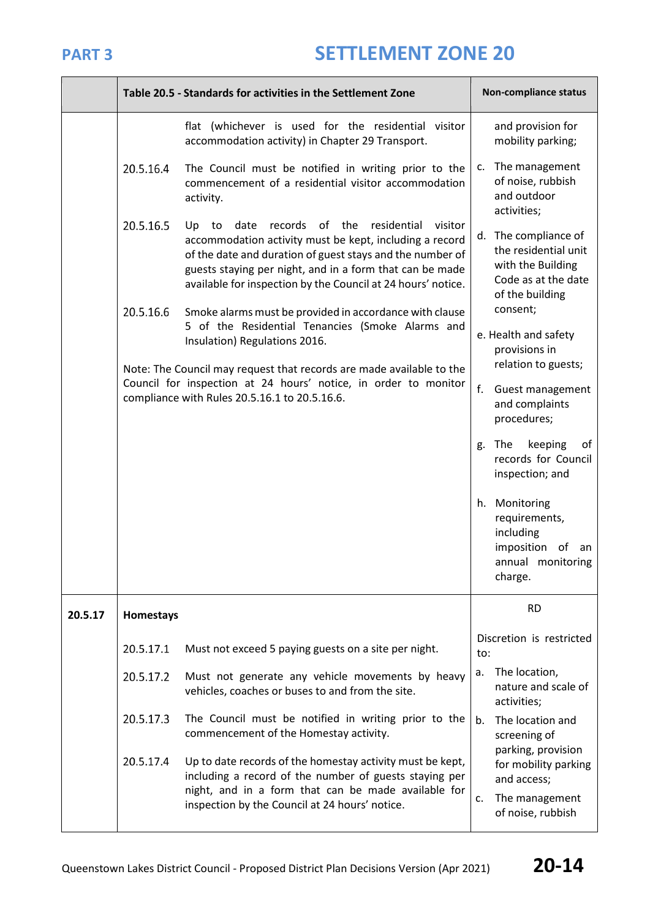|         |           | Table 20.5 - Standards for activities in the Settlement Zone                                                                                                                                                                                                                                                     | Non-compliance status                                                                                       |    |
|---------|-----------|------------------------------------------------------------------------------------------------------------------------------------------------------------------------------------------------------------------------------------------------------------------------------------------------------------------|-------------------------------------------------------------------------------------------------------------|----|
|         |           | flat (whichever is used for the residential visitor<br>accommodation activity) in Chapter 29 Transport.                                                                                                                                                                                                          | and provision for<br>mobility parking;                                                                      |    |
|         | 20.5.16.4 | The Council must be notified in writing prior to the<br>commencement of a residential visitor accommodation<br>activity.                                                                                                                                                                                         | The management<br>c.<br>of noise, rubbish<br>and outdoor<br>activities;                                     |    |
|         | 20.5.16.5 | records of the<br>residential<br>visitor<br>to<br>date<br>Up<br>accommodation activity must be kept, including a record<br>of the date and duration of guest stays and the number of<br>guests staying per night, and in a form that can be made<br>available for inspection by the Council at 24 hours' notice. | d. The compliance of<br>the residential unit<br>with the Building<br>Code as at the date<br>of the building |    |
|         | 20.5.16.6 | Smoke alarms must be provided in accordance with clause<br>5 of the Residential Tenancies (Smoke Alarms and<br>Insulation) Regulations 2016.                                                                                                                                                                     | consent;<br>e. Health and safety<br>provisions in                                                           |    |
|         |           | Note: The Council may request that records are made available to the<br>Council for inspection at 24 hours' notice, in order to monitor<br>compliance with Rules 20.5.16.1 to 20.5.16.6.                                                                                                                         | relation to guests;<br>f.<br>Guest management<br>and complaints<br>procedures;                              |    |
|         |           |                                                                                                                                                                                                                                                                                                                  | keeping<br>The<br>g.<br>records for Council<br>inspection; and                                              | of |
|         |           |                                                                                                                                                                                                                                                                                                                  | Monitoring<br>h.<br>requirements,<br>including<br>imposition of<br>annual monitoring<br>charge.             | an |
| 20.5.17 | Homestays |                                                                                                                                                                                                                                                                                                                  | <b>RD</b>                                                                                                   |    |
|         | 20.5.17.1 | Must not exceed 5 paying guests on a site per night.                                                                                                                                                                                                                                                             | Discretion is restricted<br>to:                                                                             |    |
|         | 20.5.17.2 | Must not generate any vehicle movements by heavy<br>vehicles, coaches or buses to and from the site.                                                                                                                                                                                                             | The location,<br>a.<br>nature and scale of<br>activities;                                                   |    |
|         | 20.5.17.3 | The Council must be notified in writing prior to the<br>commencement of the Homestay activity.                                                                                                                                                                                                                   | The location and<br>b.<br>screening of<br>parking, provision                                                |    |
|         | 20.5.17.4 | Up to date records of the homestay activity must be kept,<br>including a record of the number of guests staying per<br>night, and in a form that can be made available for<br>inspection by the Council at 24 hours' notice.                                                                                     | for mobility parking<br>and access;<br>The management<br>c.<br>of noise, rubbish                            |    |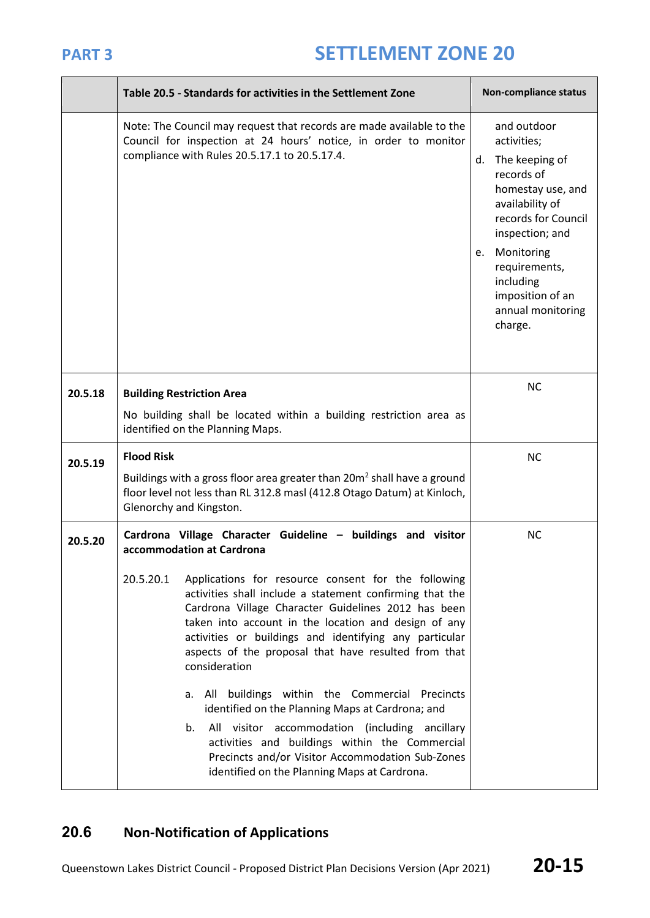|         | Table 20.5 - Standards for activities in the Settlement Zone                                                                                                                                                                                                                                                                                                                                                                                                                                                                                      | Non-compliance status                                                                                                                                                                                                                                 |
|---------|---------------------------------------------------------------------------------------------------------------------------------------------------------------------------------------------------------------------------------------------------------------------------------------------------------------------------------------------------------------------------------------------------------------------------------------------------------------------------------------------------------------------------------------------------|-------------------------------------------------------------------------------------------------------------------------------------------------------------------------------------------------------------------------------------------------------|
|         | Note: The Council may request that records are made available to the<br>Council for inspection at 24 hours' notice, in order to monitor<br>compliance with Rules 20.5.17.1 to 20.5.17.4.                                                                                                                                                                                                                                                                                                                                                          | and outdoor<br>activities;<br>The keeping of<br>d.<br>records of<br>homestay use, and<br>availability of<br>records for Council<br>inspection; and<br>e. Monitoring<br>requirements,<br>including<br>imposition of an<br>annual monitoring<br>charge. |
| 20.5.18 | <b>Building Restriction Area</b>                                                                                                                                                                                                                                                                                                                                                                                                                                                                                                                  | <b>NC</b>                                                                                                                                                                                                                                             |
|         | No building shall be located within a building restriction area as<br>identified on the Planning Maps.                                                                                                                                                                                                                                                                                                                                                                                                                                            |                                                                                                                                                                                                                                                       |
| 20.5.19 | <b>Flood Risk</b>                                                                                                                                                                                                                                                                                                                                                                                                                                                                                                                                 | <b>NC</b>                                                                                                                                                                                                                                             |
|         | Buildings with a gross floor area greater than 20m <sup>2</sup> shall have a ground<br>floor level not less than RL 312.8 masl (412.8 Otago Datum) at Kinloch,<br>Glenorchy and Kingston.                                                                                                                                                                                                                                                                                                                                                         |                                                                                                                                                                                                                                                       |
| 20.5.20 | Cardrona Village Character Guideline - buildings and visitor<br>accommodation at Cardrona                                                                                                                                                                                                                                                                                                                                                                                                                                                         | <b>NC</b>                                                                                                                                                                                                                                             |
|         | 20.5.20.1<br>Applications for resource consent for the following<br>activities shall include a statement confirming that the<br>Cardrona Village Character Guidelines 2012 has been<br>taken into account in the location and design of any<br>activities or buildings and identifying any particular<br>aspects of the proposal that have resulted from that<br>consideration<br>All buildings within the Commercial Precincts<br>а.<br>identified on the Planning Maps at Cardrona; and<br>All visitor accommodation (including ancillary<br>b. |                                                                                                                                                                                                                                                       |
|         | activities and buildings within the Commercial<br>Precincts and/or Visitor Accommodation Sub-Zones<br>identified on the Planning Maps at Cardrona.                                                                                                                                                                                                                                                                                                                                                                                                |                                                                                                                                                                                                                                                       |

## **20.6 Non-Notification of Applications**